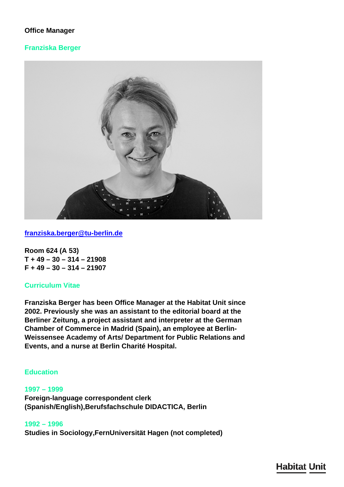# **Office Manager**

### **Franziska Berger**



**[franziska.berger@tu-berlin.de](mailto:franziska.berger@tu-berlin.de)**

**Room 624 (A 53) T + 49 – 30 – 314 – 21908 F + 49 – 30 – 314 – 21907**

## **Curriculum Vitae**

**Franziska Berger has been Office Manager at the Habitat Unit since 2002. Previously she was an assistant to the editorial board at the Berliner Zeitung, a project assistant and interpreter at the German Chamber of Commerce in Madrid (Spain), an employee at Berlin-Weissensee Academy of Arts/ Department for Public Relations and Events, and a nurse at Berlin Charité Hospital.**

# **Education**

#### **1997 – 1999**

**Foreign-language correspondent clerk (Spanish/English),Berufsfachschule DIDACTICA, Berlin**

**1992 – 1996 Studies in Sociology,FernUniversität Hagen (not completed)**